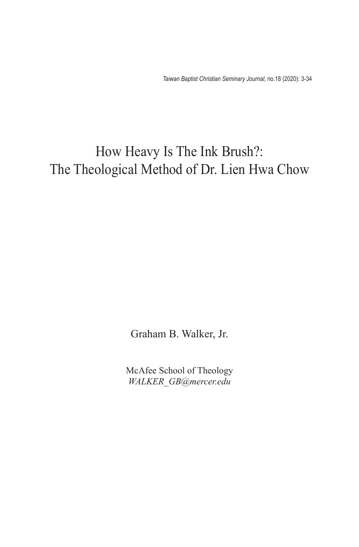*Taiwan Baptist Christian Seminary Journal*, no.18 (2020): 3-34

## How Heavy Is The Ink Brush?: The Theological Method of Dr. Lien Hwa Chow

Graham B. Walker, Jr.

McAfee School of Theology *WALKER\_GB@mercer.edu*